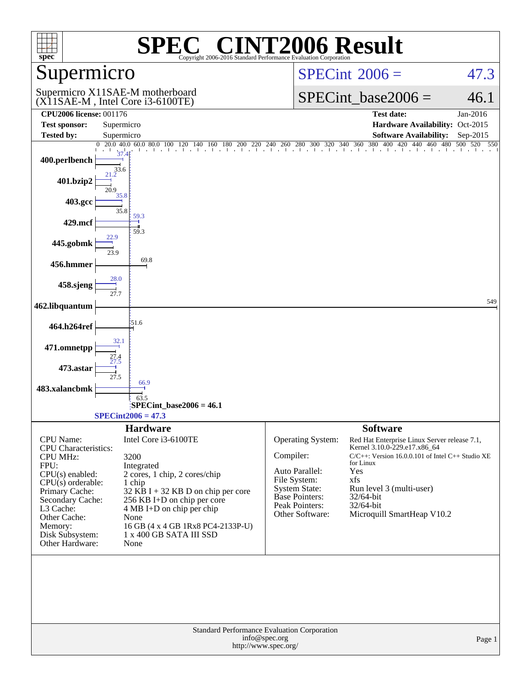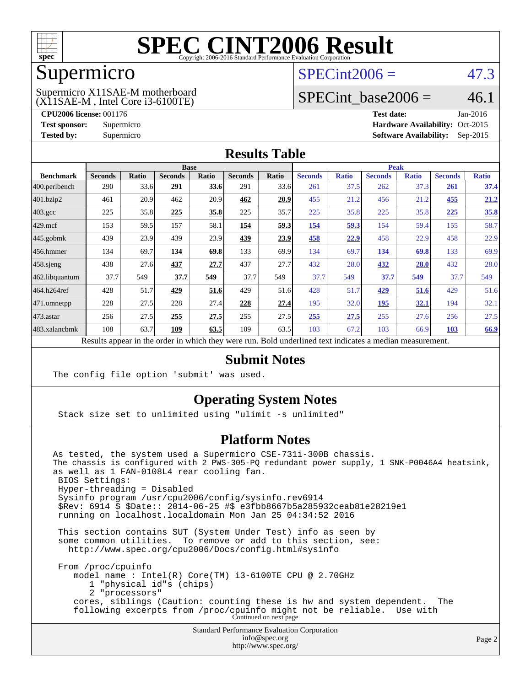

### Supermicro

#### (X11SAE-M , Intel Core i3-6100TE) Supermicro X11SAE-M motherboard

 $SPECint2006 = 47.3$  $SPECint2006 = 47.3$ 

## SPECint base2006 =  $46.1$

**[CPU2006 license:](http://www.spec.org/auto/cpu2006/Docs/result-fields.html#CPU2006license)** 001176 **[Test date:](http://www.spec.org/auto/cpu2006/Docs/result-fields.html#Testdate)** Jan-2016 **[Test sponsor:](http://www.spec.org/auto/cpu2006/Docs/result-fields.html#Testsponsor)** Supermicro Supermicro **[Hardware Availability:](http://www.spec.org/auto/cpu2006/Docs/result-fields.html#HardwareAvailability)** Oct-2015 **[Tested by:](http://www.spec.org/auto/cpu2006/Docs/result-fields.html#Testedby)** Supermicro **Supermicro [Software Availability:](http://www.spec.org/auto/cpu2006/Docs/result-fields.html#SoftwareAvailability)** Sep-2015

#### **[Results Table](http://www.spec.org/auto/cpu2006/Docs/result-fields.html#ResultsTable)**

|                                                                                                          | <b>Base</b>    |              |                |              | <b>Peak</b>    |       |                |              |                |              |                |              |
|----------------------------------------------------------------------------------------------------------|----------------|--------------|----------------|--------------|----------------|-------|----------------|--------------|----------------|--------------|----------------|--------------|
| <b>Benchmark</b>                                                                                         | <b>Seconds</b> | <b>Ratio</b> | <b>Seconds</b> | <b>Ratio</b> | <b>Seconds</b> | Ratio | <b>Seconds</b> | <b>Ratio</b> | <b>Seconds</b> | <b>Ratio</b> | <b>Seconds</b> | <b>Ratio</b> |
| 400.perlbench                                                                                            | 290            | 33.6         | 291            | 33.6         | 291            | 33.6  | 261            | 37.5         | 262            | 37.3         | 261            | <u>37.4</u>  |
| 401.bzip2                                                                                                | 461            | 20.9         | 462            | 20.9         | 462            | 20.9  | 455            | 21.2         | 456            | 21.2         | <u>455</u>     | 21.2         |
| $403.\mathrm{gcc}$                                                                                       | 225            | 35.8         | 225            | 35.8         | 225            | 35.7  | 225            | 35.8         | 225            | 35.8         | 225            | 35.8         |
| $429$ .mcf                                                                                               | 153            | 59.5         | 157            | 58.1         | 154            | 59.3  | 154            | 59.3         | 154            | 59.4         | 155            | 58.7         |
| $445$ .gobmk                                                                                             | 439            | 23.9         | 439            | 23.9         | 439            | 23.9  | 458            | 22.9         | 458            | 22.9         | 458            | 22.9         |
| $456.$ hmmer                                                                                             | 134            | 69.7         | 134            | 69.8         | 133            | 69.9  | 134            | 69.7         | 134            | 69.8         | 133            | 69.9         |
| $458$ .sjeng                                                                                             | 438            | 27.6         | 437            | 27.7         | 437            | 27.7  | 432            | 28.0         | 432            | 28.0         | 432            | 28.0         |
| 462.libquantum                                                                                           | 37.7           | 549          | 37.7           | 549          | 37.7           | 549   | 37.7           | 549          | 37.7           | 549          | 37.7           | 549          |
| 464.h264ref                                                                                              | 428            | 51.7         | 429            | 51.6         | 429            | 51.6  | 428            | 51.7         | 429            | 51.6         | 429            | 51.6         |
| $ 471$ .omnetpp                                                                                          | 228            | 27.5         | 228            | 27.4         | 228            | 27.4  | 195            | 32.0         | 195            | <u>32.1</u>  | 194            | 32.1         |
| $473$ . astar                                                                                            | 256            | 27.5         | 255            | 27.5         | 255            | 27.5  | 255            | 27.5         | 255            | 27.6         | 256            | 27.5         |
| 483.xalancbmk                                                                                            | 108            | 63.7         | 109            | 63.5         | 109            | 63.5  | 103            | 67.2         | 103            | 66.9         | <b>103</b>     | 66.9         |
| Results appear in the order in which they were run. Bold underlined text indicates a median measurement. |                |              |                |              |                |       |                |              |                |              |                |              |

#### **[Submit Notes](http://www.spec.org/auto/cpu2006/Docs/result-fields.html#SubmitNotes)**

The config file option 'submit' was used.

#### **[Operating System Notes](http://www.spec.org/auto/cpu2006/Docs/result-fields.html#OperatingSystemNotes)**

Stack size set to unlimited using "ulimit -s unlimited"

#### **[Platform Notes](http://www.spec.org/auto/cpu2006/Docs/result-fields.html#PlatformNotes)**

Standard Performance Evaluation Corporation As tested, the system used a Supermicro CSE-731i-300B chassis. The chassis is configured with 2 PWS-305-PQ redundant power supply, 1 SNK-P0046A4 heatsink, as well as 1 FAN-0108L4 rear cooling fan. BIOS Settings: Hyper-threading = Disabled Sysinfo program /usr/cpu2006/config/sysinfo.rev6914 \$Rev: 6914 \$ \$Date:: 2014-06-25 #\$ e3fbb8667b5a285932ceab81e28219e1 running on localhost.localdomain Mon Jan 25 04:34:52 2016 This section contains SUT (System Under Test) info as seen by some common utilities. To remove or add to this section, see: <http://www.spec.org/cpu2006/Docs/config.html#sysinfo> From /proc/cpuinfo model name : Intel(R) Core(TM) i3-6100TE CPU @ 2.70GHz 1 "physical id"s (chips) 2 "processors" cores, siblings (Caution: counting these is hw and system dependent. The following excerpts from /proc/cpuinfo might not be reliable. Use with Continued on next page

[info@spec.org](mailto:info@spec.org) <http://www.spec.org/> Page 2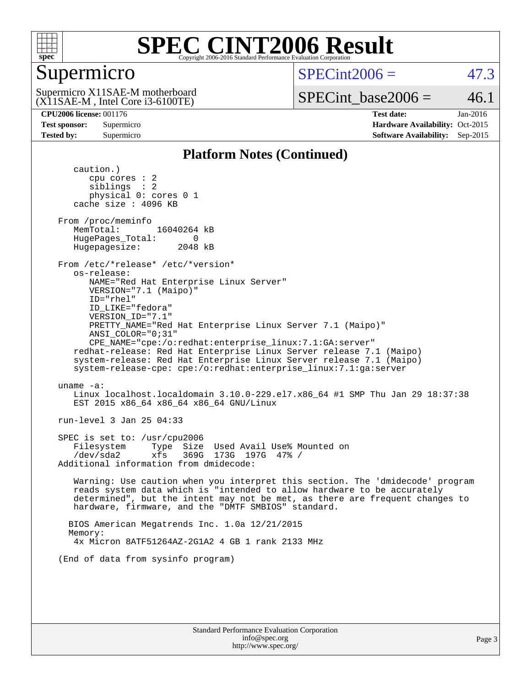

### Supermicro

 $SPECint2006 = 47.3$  $SPECint2006 = 47.3$ 

(X11SAE-M , Intel Core i3-6100TE) Supermicro X11SAE-M motherboard SPECint base2006 =  $46.1$ 

**[CPU2006 license:](http://www.spec.org/auto/cpu2006/Docs/result-fields.html#CPU2006license)** 001176 **[Test date:](http://www.spec.org/auto/cpu2006/Docs/result-fields.html#Testdate)** Jan-2016 **[Test sponsor:](http://www.spec.org/auto/cpu2006/Docs/result-fields.html#Testsponsor)** Supermicro Supermicro **[Hardware Availability:](http://www.spec.org/auto/cpu2006/Docs/result-fields.html#HardwareAvailability)** Oct-2015 **[Tested by:](http://www.spec.org/auto/cpu2006/Docs/result-fields.html#Testedby)** Supermicro **Supermicro [Software Availability:](http://www.spec.org/auto/cpu2006/Docs/result-fields.html#SoftwareAvailability)** Sep-2015

#### **[Platform Notes \(Continued\)](http://www.spec.org/auto/cpu2006/Docs/result-fields.html#PlatformNotes)**

 caution.) cpu cores : 2 siblings : 2 physical 0: cores 0 1 cache size : 4096 KB From /proc/meminfo MemTotal: 16040264 kB HugePages\_Total: 0<br>Hugepagesize: 2048 kB Hugepagesize: From /etc/\*release\* /etc/\*version\* os-release: NAME="Red Hat Enterprise Linux Server" VERSION="7.1 (Maipo)" ID="rhel" ID\_LIKE="fedora" VERSION\_ID="7.1" PRETTY\_NAME="Red Hat Enterprise Linux Server 7.1 (Maipo)" ANSI\_COLOR="0;31" CPE\_NAME="cpe:/o:redhat:enterprise\_linux:7.1:GA:server" redhat-release: Red Hat Enterprise Linux Server release 7.1 (Maipo) system-release: Red Hat Enterprise Linux Server release 7.1 (Maipo) system-release-cpe: cpe:/o:redhat:enterprise\_linux:7.1:ga:server uname -a: Linux localhost.localdomain 3.10.0-229.el7.x86\_64 #1 SMP Thu Jan 29 18:37:38 EST 2015 x86\_64 x86\_64 x86\_64 GNU/Linux run-level 3 Jan 25 04:33 SPEC is set to: /usr/cpu2006 Filesystem Type Size Used Avail Use% Mounted on /dev/sda2 xfs 369G 173G 197G 47% / Additional information from dmidecode: Warning: Use caution when you interpret this section. The 'dmidecode' program reads system data which is "intended to allow hardware to be accurately determined", but the intent may not be met, as there are frequent changes to hardware, firmware, and the "DMTF SMBIOS" standard. BIOS American Megatrends Inc. 1.0a 12/21/2015 Memory: 4x Micron 8ATF51264AZ-2G1A2 4 GB 1 rank 2133 MHz (End of data from sysinfo program)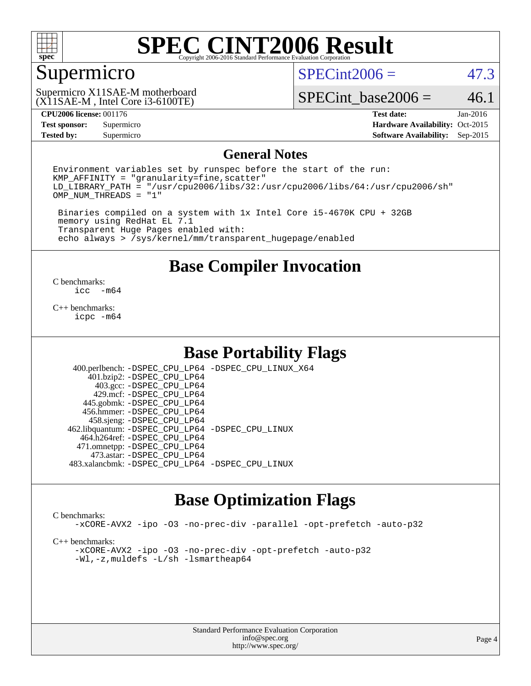

#### Supermicro

 $SPECint2006 = 47.3$  $SPECint2006 = 47.3$ 

(X11SAE-M , Intel Core i3-6100TE) Supermicro X11SAE-M motherboard

SPECint base2006 =  $46.1$ 

**[Tested by:](http://www.spec.org/auto/cpu2006/Docs/result-fields.html#Testedby)** Supermicro **Supermicro [Software Availability:](http://www.spec.org/auto/cpu2006/Docs/result-fields.html#SoftwareAvailability)** Sep-2015

**[CPU2006 license:](http://www.spec.org/auto/cpu2006/Docs/result-fields.html#CPU2006license)** 001176 **[Test date:](http://www.spec.org/auto/cpu2006/Docs/result-fields.html#Testdate)** Jan-2016 **[Test sponsor:](http://www.spec.org/auto/cpu2006/Docs/result-fields.html#Testsponsor)** Supermicro Supermicro **[Hardware Availability:](http://www.spec.org/auto/cpu2006/Docs/result-fields.html#HardwareAvailability)** Oct-2015

#### **[General Notes](http://www.spec.org/auto/cpu2006/Docs/result-fields.html#GeneralNotes)**

Environment variables set by runspec before the start of the run: KMP\_AFFINITY = "granularity=fine,scatter" LD\_LIBRARY\_PATH = "/usr/cpu2006/libs/32:/usr/cpu2006/libs/64:/usr/cpu2006/sh" OMP\_NUM\_THREADS = "1"

 Binaries compiled on a system with 1x Intel Core i5-4670K CPU + 32GB memory using RedHat EL 7.1 Transparent Huge Pages enabled with: echo always > /sys/kernel/mm/transparent\_hugepage/enabled

**[Base Compiler Invocation](http://www.spec.org/auto/cpu2006/Docs/result-fields.html#BaseCompilerInvocation)**

 $\frac{C \text{ benchmarks:}}{C \text{ C}}$ -m64

[C++ benchmarks:](http://www.spec.org/auto/cpu2006/Docs/result-fields.html#CXXbenchmarks) [icpc -m64](http://www.spec.org/cpu2006/results/res2016q1/cpu2006-20160206-38975.flags.html#user_CXXbase_intel_icpc_64bit_fc66a5337ce925472a5c54ad6a0de310)

#### **[Base Portability Flags](http://www.spec.org/auto/cpu2006/Docs/result-fields.html#BasePortabilityFlags)**

 400.perlbench: [-DSPEC\\_CPU\\_LP64](http://www.spec.org/cpu2006/results/res2016q1/cpu2006-20160206-38975.flags.html#b400.perlbench_basePORTABILITY_DSPEC_CPU_LP64) [-DSPEC\\_CPU\\_LINUX\\_X64](http://www.spec.org/cpu2006/results/res2016q1/cpu2006-20160206-38975.flags.html#b400.perlbench_baseCPORTABILITY_DSPEC_CPU_LINUX_X64) 401.bzip2: [-DSPEC\\_CPU\\_LP64](http://www.spec.org/cpu2006/results/res2016q1/cpu2006-20160206-38975.flags.html#suite_basePORTABILITY401_bzip2_DSPEC_CPU_LP64) 403.gcc: [-DSPEC\\_CPU\\_LP64](http://www.spec.org/cpu2006/results/res2016q1/cpu2006-20160206-38975.flags.html#suite_basePORTABILITY403_gcc_DSPEC_CPU_LP64) 429.mcf: [-DSPEC\\_CPU\\_LP64](http://www.spec.org/cpu2006/results/res2016q1/cpu2006-20160206-38975.flags.html#suite_basePORTABILITY429_mcf_DSPEC_CPU_LP64) 445.gobmk: [-DSPEC\\_CPU\\_LP64](http://www.spec.org/cpu2006/results/res2016q1/cpu2006-20160206-38975.flags.html#suite_basePORTABILITY445_gobmk_DSPEC_CPU_LP64) 456.hmmer: [-DSPEC\\_CPU\\_LP64](http://www.spec.org/cpu2006/results/res2016q1/cpu2006-20160206-38975.flags.html#suite_basePORTABILITY456_hmmer_DSPEC_CPU_LP64) 458.sjeng: [-DSPEC\\_CPU\\_LP64](http://www.spec.org/cpu2006/results/res2016q1/cpu2006-20160206-38975.flags.html#suite_basePORTABILITY458_sjeng_DSPEC_CPU_LP64) 462.libquantum: [-DSPEC\\_CPU\\_LP64](http://www.spec.org/cpu2006/results/res2016q1/cpu2006-20160206-38975.flags.html#suite_basePORTABILITY462_libquantum_DSPEC_CPU_LP64) [-DSPEC\\_CPU\\_LINUX](http://www.spec.org/cpu2006/results/res2016q1/cpu2006-20160206-38975.flags.html#b462.libquantum_baseCPORTABILITY_DSPEC_CPU_LINUX) 464.h264ref: [-DSPEC\\_CPU\\_LP64](http://www.spec.org/cpu2006/results/res2016q1/cpu2006-20160206-38975.flags.html#suite_basePORTABILITY464_h264ref_DSPEC_CPU_LP64) 471.omnetpp: [-DSPEC\\_CPU\\_LP64](http://www.spec.org/cpu2006/results/res2016q1/cpu2006-20160206-38975.flags.html#suite_basePORTABILITY471_omnetpp_DSPEC_CPU_LP64) 473.astar: [-DSPEC\\_CPU\\_LP64](http://www.spec.org/cpu2006/results/res2016q1/cpu2006-20160206-38975.flags.html#suite_basePORTABILITY473_astar_DSPEC_CPU_LP64) 483.xalancbmk: [-DSPEC\\_CPU\\_LP64](http://www.spec.org/cpu2006/results/res2016q1/cpu2006-20160206-38975.flags.html#suite_basePORTABILITY483_xalancbmk_DSPEC_CPU_LP64) [-DSPEC\\_CPU\\_LINUX](http://www.spec.org/cpu2006/results/res2016q1/cpu2006-20160206-38975.flags.html#b483.xalancbmk_baseCXXPORTABILITY_DSPEC_CPU_LINUX)

### **[Base Optimization Flags](http://www.spec.org/auto/cpu2006/Docs/result-fields.html#BaseOptimizationFlags)**

[C benchmarks](http://www.spec.org/auto/cpu2006/Docs/result-fields.html#Cbenchmarks):

[-xCORE-AVX2](http://www.spec.org/cpu2006/results/res2016q1/cpu2006-20160206-38975.flags.html#user_CCbase_f-xAVX2_5f5fc0cbe2c9f62c816d3e45806c70d7) [-ipo](http://www.spec.org/cpu2006/results/res2016q1/cpu2006-20160206-38975.flags.html#user_CCbase_f-ipo) [-O3](http://www.spec.org/cpu2006/results/res2016q1/cpu2006-20160206-38975.flags.html#user_CCbase_f-O3) [-no-prec-div](http://www.spec.org/cpu2006/results/res2016q1/cpu2006-20160206-38975.flags.html#user_CCbase_f-no-prec-div) [-parallel](http://www.spec.org/cpu2006/results/res2016q1/cpu2006-20160206-38975.flags.html#user_CCbase_f-parallel) [-opt-prefetch](http://www.spec.org/cpu2006/results/res2016q1/cpu2006-20160206-38975.flags.html#user_CCbase_f-opt-prefetch) [-auto-p32](http://www.spec.org/cpu2006/results/res2016q1/cpu2006-20160206-38975.flags.html#user_CCbase_f-auto-p32)

[C++ benchmarks:](http://www.spec.org/auto/cpu2006/Docs/result-fields.html#CXXbenchmarks)

[-xCORE-AVX2](http://www.spec.org/cpu2006/results/res2016q1/cpu2006-20160206-38975.flags.html#user_CXXbase_f-xAVX2_5f5fc0cbe2c9f62c816d3e45806c70d7) [-ipo](http://www.spec.org/cpu2006/results/res2016q1/cpu2006-20160206-38975.flags.html#user_CXXbase_f-ipo) [-O3](http://www.spec.org/cpu2006/results/res2016q1/cpu2006-20160206-38975.flags.html#user_CXXbase_f-O3) [-no-prec-div](http://www.spec.org/cpu2006/results/res2016q1/cpu2006-20160206-38975.flags.html#user_CXXbase_f-no-prec-div) [-opt-prefetch](http://www.spec.org/cpu2006/results/res2016q1/cpu2006-20160206-38975.flags.html#user_CXXbase_f-opt-prefetch) [-auto-p32](http://www.spec.org/cpu2006/results/res2016q1/cpu2006-20160206-38975.flags.html#user_CXXbase_f-auto-p32) [-Wl,-z,muldefs](http://www.spec.org/cpu2006/results/res2016q1/cpu2006-20160206-38975.flags.html#user_CXXbase_link_force_multiple1_74079c344b956b9658436fd1b6dd3a8a) [-L/sh -lsmartheap64](http://www.spec.org/cpu2006/results/res2016q1/cpu2006-20160206-38975.flags.html#user_CXXbase_SmartHeap64_ed4ef857ce90951921efb0d91eb88472)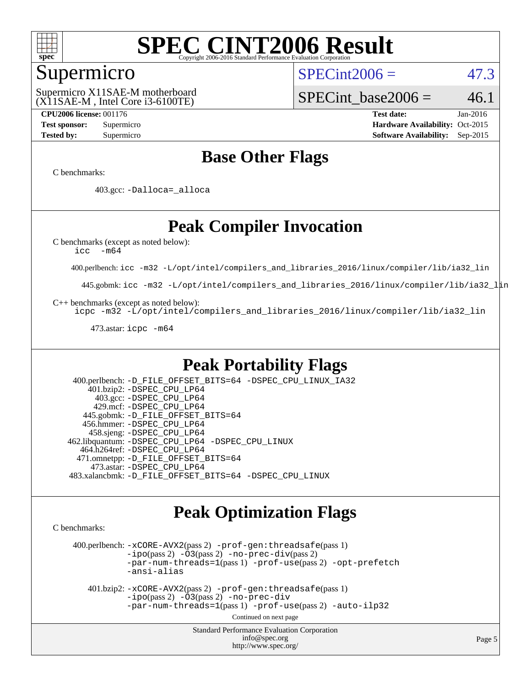

#### Supermicro

(X11SAE-M , Intel Core i3-6100TE) Supermicro X11SAE-M motherboard  $SPECint2006 = 47.3$  $SPECint2006 = 47.3$ 

SPECint base2006 =  $46.1$ 

**[CPU2006 license:](http://www.spec.org/auto/cpu2006/Docs/result-fields.html#CPU2006license)** 001176 **[Test date:](http://www.spec.org/auto/cpu2006/Docs/result-fields.html#Testdate)** Jan-2016 **[Test sponsor:](http://www.spec.org/auto/cpu2006/Docs/result-fields.html#Testsponsor)** Supermicro Supermicro **[Hardware Availability:](http://www.spec.org/auto/cpu2006/Docs/result-fields.html#HardwareAvailability)** Oct-2015 **[Tested by:](http://www.spec.org/auto/cpu2006/Docs/result-fields.html#Testedby)** Supermicro **Supermicro [Software Availability:](http://www.spec.org/auto/cpu2006/Docs/result-fields.html#SoftwareAvailability)** Sep-2015

### **[Base Other Flags](http://www.spec.org/auto/cpu2006/Docs/result-fields.html#BaseOtherFlags)**

[C benchmarks](http://www.spec.org/auto/cpu2006/Docs/result-fields.html#Cbenchmarks):

403.gcc: [-Dalloca=\\_alloca](http://www.spec.org/cpu2006/results/res2016q1/cpu2006-20160206-38975.flags.html#b403.gcc_baseEXTRA_CFLAGS_Dalloca_be3056838c12de2578596ca5467af7f3)

## **[Peak Compiler Invocation](http://www.spec.org/auto/cpu2006/Docs/result-fields.html#PeakCompilerInvocation)**

[C benchmarks \(except as noted below\)](http://www.spec.org/auto/cpu2006/Docs/result-fields.html#Cbenchmarksexceptasnotedbelow):

[icc -m64](http://www.spec.org/cpu2006/results/res2016q1/cpu2006-20160206-38975.flags.html#user_CCpeak_intel_icc_64bit_f346026e86af2a669e726fe758c88044)

400.perlbench: [icc -m32 -L/opt/intel/compilers\\_and\\_libraries\\_2016/linux/compiler/lib/ia32\\_lin](http://www.spec.org/cpu2006/results/res2016q1/cpu2006-20160206-38975.flags.html#user_peakCCLD400_perlbench_intel_icc_e10256ba5924b668798078a321b0cb3f)

445.gobmk: [icc -m32 -L/opt/intel/compilers\\_and\\_libraries\\_2016/linux/compiler/lib/ia32\\_lin](http://www.spec.org/cpu2006/results/res2016q1/cpu2006-20160206-38975.flags.html#user_peakCCLD445_gobmk_intel_icc_e10256ba5924b668798078a321b0cb3f)

[C++ benchmarks \(except as noted below\):](http://www.spec.org/auto/cpu2006/Docs/result-fields.html#CXXbenchmarksexceptasnotedbelow)

[icpc -m32 -L/opt/intel/compilers\\_and\\_libraries\\_2016/linux/compiler/lib/ia32\\_lin](http://www.spec.org/cpu2006/results/res2016q1/cpu2006-20160206-38975.flags.html#user_CXXpeak_intel_icpc_b4f50a394bdb4597aa5879c16bc3f5c5)

473.astar: [icpc -m64](http://www.spec.org/cpu2006/results/res2016q1/cpu2006-20160206-38975.flags.html#user_peakCXXLD473_astar_intel_icpc_64bit_fc66a5337ce925472a5c54ad6a0de310)

#### **[Peak Portability Flags](http://www.spec.org/auto/cpu2006/Docs/result-fields.html#PeakPortabilityFlags)**

 400.perlbench: [-D\\_FILE\\_OFFSET\\_BITS=64](http://www.spec.org/cpu2006/results/res2016q1/cpu2006-20160206-38975.flags.html#user_peakPORTABILITY400_perlbench_file_offset_bits_64_438cf9856305ebd76870a2c6dc2689ab) [-DSPEC\\_CPU\\_LINUX\\_IA32](http://www.spec.org/cpu2006/results/res2016q1/cpu2006-20160206-38975.flags.html#b400.perlbench_peakCPORTABILITY_DSPEC_CPU_LINUX_IA32) 401.bzip2: [-DSPEC\\_CPU\\_LP64](http://www.spec.org/cpu2006/results/res2016q1/cpu2006-20160206-38975.flags.html#suite_peakPORTABILITY401_bzip2_DSPEC_CPU_LP64) 403.gcc: [-DSPEC\\_CPU\\_LP64](http://www.spec.org/cpu2006/results/res2016q1/cpu2006-20160206-38975.flags.html#suite_peakPORTABILITY403_gcc_DSPEC_CPU_LP64) 429.mcf: [-DSPEC\\_CPU\\_LP64](http://www.spec.org/cpu2006/results/res2016q1/cpu2006-20160206-38975.flags.html#suite_peakPORTABILITY429_mcf_DSPEC_CPU_LP64) 445.gobmk: [-D\\_FILE\\_OFFSET\\_BITS=64](http://www.spec.org/cpu2006/results/res2016q1/cpu2006-20160206-38975.flags.html#user_peakPORTABILITY445_gobmk_file_offset_bits_64_438cf9856305ebd76870a2c6dc2689ab) 456.hmmer: [-DSPEC\\_CPU\\_LP64](http://www.spec.org/cpu2006/results/res2016q1/cpu2006-20160206-38975.flags.html#suite_peakPORTABILITY456_hmmer_DSPEC_CPU_LP64) 458.sjeng: [-DSPEC\\_CPU\\_LP64](http://www.spec.org/cpu2006/results/res2016q1/cpu2006-20160206-38975.flags.html#suite_peakPORTABILITY458_sjeng_DSPEC_CPU_LP64) 462.libquantum: [-DSPEC\\_CPU\\_LP64](http://www.spec.org/cpu2006/results/res2016q1/cpu2006-20160206-38975.flags.html#suite_peakPORTABILITY462_libquantum_DSPEC_CPU_LP64) [-DSPEC\\_CPU\\_LINUX](http://www.spec.org/cpu2006/results/res2016q1/cpu2006-20160206-38975.flags.html#b462.libquantum_peakCPORTABILITY_DSPEC_CPU_LINUX) 464.h264ref: [-DSPEC\\_CPU\\_LP64](http://www.spec.org/cpu2006/results/res2016q1/cpu2006-20160206-38975.flags.html#suite_peakPORTABILITY464_h264ref_DSPEC_CPU_LP64) 471.omnetpp: [-D\\_FILE\\_OFFSET\\_BITS=64](http://www.spec.org/cpu2006/results/res2016q1/cpu2006-20160206-38975.flags.html#user_peakPORTABILITY471_omnetpp_file_offset_bits_64_438cf9856305ebd76870a2c6dc2689ab) 473.astar: [-DSPEC\\_CPU\\_LP64](http://www.spec.org/cpu2006/results/res2016q1/cpu2006-20160206-38975.flags.html#suite_peakPORTABILITY473_astar_DSPEC_CPU_LP64) 483.xalancbmk: [-D\\_FILE\\_OFFSET\\_BITS=64](http://www.spec.org/cpu2006/results/res2016q1/cpu2006-20160206-38975.flags.html#user_peakPORTABILITY483_xalancbmk_file_offset_bits_64_438cf9856305ebd76870a2c6dc2689ab) [-DSPEC\\_CPU\\_LINUX](http://www.spec.org/cpu2006/results/res2016q1/cpu2006-20160206-38975.flags.html#b483.xalancbmk_peakCXXPORTABILITY_DSPEC_CPU_LINUX)

#### **[Peak Optimization Flags](http://www.spec.org/auto/cpu2006/Docs/result-fields.html#PeakOptimizationFlags)**

[C benchmarks](http://www.spec.org/auto/cpu2006/Docs/result-fields.html#Cbenchmarks):

 400.perlbench: [-xCORE-AVX2](http://www.spec.org/cpu2006/results/res2016q1/cpu2006-20160206-38975.flags.html#user_peakPASS2_CFLAGSPASS2_LDCFLAGS400_perlbench_f-xAVX2_5f5fc0cbe2c9f62c816d3e45806c70d7)(pass 2) [-prof-gen:threadsafe](http://www.spec.org/cpu2006/results/res2016q1/cpu2006-20160206-38975.flags.html#user_peakPASS1_CFLAGSPASS1_LDCFLAGS400_perlbench_prof_gen_21a26eb79f378b550acd7bec9fe4467a)(pass 1)  $-i\text{po}(pass 2) -\tilde{O}3(pass 2)$  [-no-prec-div](http://www.spec.org/cpu2006/results/res2016q1/cpu2006-20160206-38975.flags.html#user_peakPASS2_CFLAGSPASS2_LDCFLAGS400_perlbench_f-no-prec-div)(pass 2) [-par-num-threads=1](http://www.spec.org/cpu2006/results/res2016q1/cpu2006-20160206-38975.flags.html#user_peakPASS1_CFLAGSPASS1_LDCFLAGS400_perlbench_par_num_threads_786a6ff141b4e9e90432e998842df6c2)(pass 1) [-prof-use](http://www.spec.org/cpu2006/results/res2016q1/cpu2006-20160206-38975.flags.html#user_peakPASS2_CFLAGSPASS2_LDCFLAGS400_perlbench_prof_use_bccf7792157ff70d64e32fe3e1250b55)(pass 2) [-opt-prefetch](http://www.spec.org/cpu2006/results/res2016q1/cpu2006-20160206-38975.flags.html#user_peakCOPTIMIZE400_perlbench_f-opt-prefetch) [-ansi-alias](http://www.spec.org/cpu2006/results/res2016q1/cpu2006-20160206-38975.flags.html#user_peakCOPTIMIZE400_perlbench_f-ansi-alias)

 401.bzip2: [-xCORE-AVX2](http://www.spec.org/cpu2006/results/res2016q1/cpu2006-20160206-38975.flags.html#user_peakPASS2_CFLAGSPASS2_LDCFLAGS401_bzip2_f-xAVX2_5f5fc0cbe2c9f62c816d3e45806c70d7)(pass 2) [-prof-gen:threadsafe](http://www.spec.org/cpu2006/results/res2016q1/cpu2006-20160206-38975.flags.html#user_peakPASS1_CFLAGSPASS1_LDCFLAGS401_bzip2_prof_gen_21a26eb79f378b550acd7bec9fe4467a)(pass 1)  $-i\text{po}(pass 2) -\overline{O}3(pass 2)$  [-no-prec-div](http://www.spec.org/cpu2006/results/res2016q1/cpu2006-20160206-38975.flags.html#user_peakCOPTIMIZEPASS2_CFLAGSPASS2_LDCFLAGS401_bzip2_f-no-prec-div) [-par-num-threads=1](http://www.spec.org/cpu2006/results/res2016q1/cpu2006-20160206-38975.flags.html#user_peakPASS1_CFLAGSPASS1_LDCFLAGS401_bzip2_par_num_threads_786a6ff141b4e9e90432e998842df6c2)(pass 1) [-prof-use](http://www.spec.org/cpu2006/results/res2016q1/cpu2006-20160206-38975.flags.html#user_peakPASS2_CFLAGSPASS2_LDCFLAGS401_bzip2_prof_use_bccf7792157ff70d64e32fe3e1250b55)(pass 2) [-auto-ilp32](http://www.spec.org/cpu2006/results/res2016q1/cpu2006-20160206-38975.flags.html#user_peakCOPTIMIZE401_bzip2_f-auto-ilp32)

Continued on next page

Standard Performance Evaluation Corporation [info@spec.org](mailto:info@spec.org) <http://www.spec.org/>

Page 5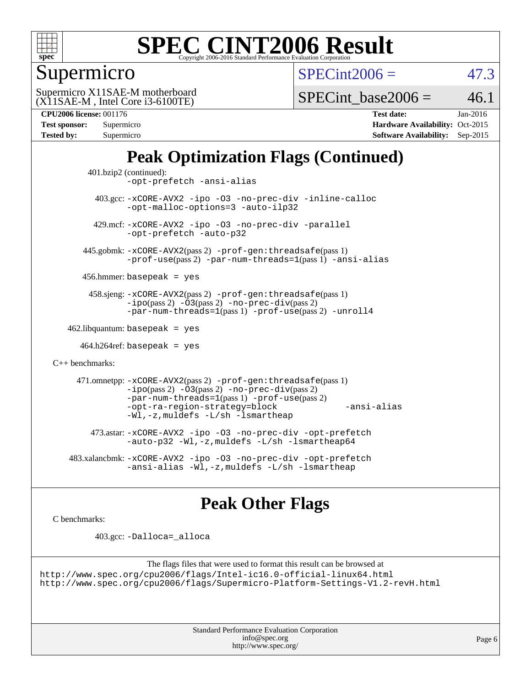

## Supermicro

 $SPECint2006 = 47.3$  $SPECint2006 = 47.3$ 

(X11SAE-M , Intel Core i3-6100TE) Supermicro X11SAE-M motherboard

SPECint base2006 =  $46.1$ 

| Test sponsor:     | Supermicro |
|-------------------|------------|
| <b>Tested by:</b> | Supermicro |

**[CPU2006 license:](http://www.spec.org/auto/cpu2006/Docs/result-fields.html#CPU2006license)** 001176 **[Test date:](http://www.spec.org/auto/cpu2006/Docs/result-fields.html#Testdate)** Jan-2016 **[Hardware Availability:](http://www.spec.org/auto/cpu2006/Docs/result-fields.html#HardwareAvailability)** Oct-2015 **[Software Availability:](http://www.spec.org/auto/cpu2006/Docs/result-fields.html#SoftwareAvailability)** Sep-2015

## **[Peak Optimization Flags \(Continued\)](http://www.spec.org/auto/cpu2006/Docs/result-fields.html#PeakOptimizationFlags)**

```
 401.bzip2 (continued):
                -opt-prefetch -ansi-alias
          403.gcc: -xCORE-AVX2 -ipo -O3 -no-prec-div -inline-calloc
                -opt-malloc-options=3 -auto-ilp32
         429.mcf: -xCORE-AVX2 -ipo -O3 -no-prec-div -parallel
                -opt-prefetch -auto-p32
       445.gobmk: -xCORE-AVX2(pass 2) -prof-gen:threadsafe(pass 1)
                -prof-use(pass 2) -par-num-threads=1(pass 1) -ansi-alias
       456.hmmer: basepeak = yes
        458.sjeng: -xCORE-AVX2(pass 2) -prof-gen:threadsafe(pass 1)
                -i\text{po}(pass 2) -\tilde{O}3(pass 2)-no-prec-div(pass 2)
                -par-num-threads=1(pass 1) -prof-use(pass 2) -unroll4
   462.libquantum: basepeak = yes
     464.h264ref: basepeak = yes
C++ benchmarks: 
      471.omnetpp: -xCORE-AVX2(pass 2) -prof-gen:threadsafe(pass 1)
                -i\text{po}(pass 2) -\overline{O}3(pass 2) -no-\overline{prec}\-div(pass 2)-par-num-threads=1(pass 1) -prof-use(pass 2)
                -opt-ra-region-strategy=block -ansi-alias
                -Wl,-z,muldefs -L/sh -lsmartheap
         473.astar: -xCORE-AVX2 -ipo -O3 -no-prec-div -opt-prefetch
                -auto-p32 -Wl,-z,muldefs -L/sh -lsmartheap64
    483.xalancbmk: -xCORE-AVX2 -ipo -O3 -no-prec-div -opt-prefetch
                -ansi-alias-L/sh -lsmartheap
```
### **[Peak Other Flags](http://www.spec.org/auto/cpu2006/Docs/result-fields.html#PeakOtherFlags)**

[C benchmarks](http://www.spec.org/auto/cpu2006/Docs/result-fields.html#Cbenchmarks):

403.gcc: [-Dalloca=\\_alloca](http://www.spec.org/cpu2006/results/res2016q1/cpu2006-20160206-38975.flags.html#b403.gcc_peakEXTRA_CFLAGS_Dalloca_be3056838c12de2578596ca5467af7f3)

```
The flags files that were used to format this result can be browsed at
http://www.spec.org/cpu2006/flags/Intel-ic16.0-official-linux64.html
http://www.spec.org/cpu2006/flags/Supermicro-Platform-Settings-V1.2-revH.html
```